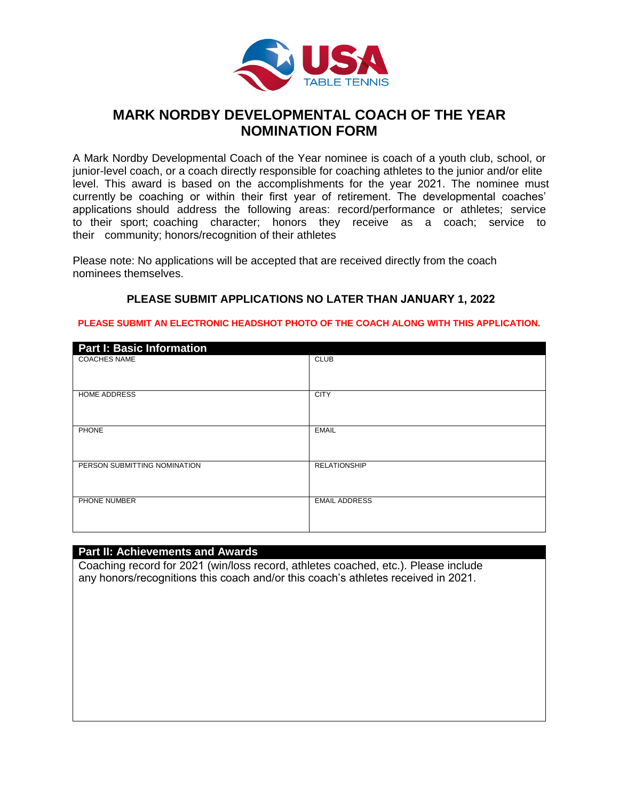

# **MARK NORDBY DEVELOPMENTAL COACH OF THE YEAR NOMINATION FORM**

A Mark Nordby Developmental Coach of the Year nominee is coach of a youth club, school, or junior-level coach, or a coach directly responsible for coaching athletes to the junior and/or elite level. This award is based on the accomplishments for the year 2021. The nominee must currently be coaching or within their first year of retirement. The developmental coaches' applications should address the following areas: record/performance or athletes; service to their sport; coaching character; honors they receive as a coach; service to their community; honors/recognition of their athletes

Please note: No applications will be accepted that are received directly from the coach nominees themselves.

## **PLEASE SUBMIT APPLICATIONS NO LATER THAN JANUARY 1, 2022**

#### **PLEASE SUBMIT AN ELECTRONIC HEADSHOT PHOTO OF THE COACH ALONG WITH THIS APPLICATION.**

| <b>Part I: Basic Information</b> |                      |
|----------------------------------|----------------------|
| <b>COACHES NAME</b>              | <b>CLUB</b>          |
| <b>HOME ADDRESS</b>              | <b>CITY</b>          |
| PHONE                            | <b>EMAIL</b>         |
| PERSON SUBMITTING NOMINATION     | <b>RELATIONSHIP</b>  |
| PHONE NUMBER                     | <b>EMAIL ADDRESS</b> |

### **Part II: Achievements and Awards**

Coaching record for 2021 (win/loss record, athletes coached, etc.). Please include any honors/recognitions this coach and/or this coach's athletes received in 2021.